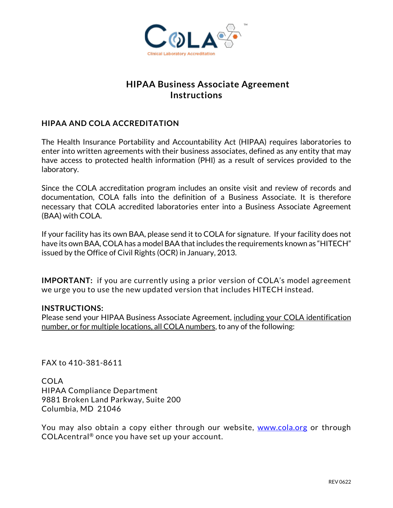

# **HIPAA Business Associate Agreement Instructions**

# **HIPAA AND COLA ACCREDITATION**

The Health Insurance Portability and Accountability Act (HIPAA) requires laboratories to enter into written agreements with their business associates, defined as any entity that may have access to protected health information (PHI) as a result of services provided to the laboratory.

Since the COLA accreditation program includes an onsite visit and review of records and documentation, COLA falls into the definition of a Business Associate. It is therefore necessary that COLA accredited laboratories enter into a Business Associate Agreement (BAA) with COLA.

If your facility has its own BAA, please send it to COLA for signature. If your facility does not have its own BAA, COLA has a model BAA that includes the requirements known as "HITECH" issued by the Office of Civil Rights (OCR) in January, 2013.

**IMPORTANT:** if you are currently using a prior version of COLA's model agreement we urge you to use the new updated version that includes HITECH instead.

### **INSTRUCTIONS:**

Please send your HIPAA Business Associate Agreement, including your COLA identification number, or for multiple locations, all COLA numbers, to any of the following:

FAX to 410-381-8611

COLA HIPAA Compliance Department 9881 Broken Land Parkway, Suite 200 Columbia, MD 21046

You may also obtain a copy either through our website, [www.cola.org](http://www.cola.org/) or through COLAcentral® once you have set up your account.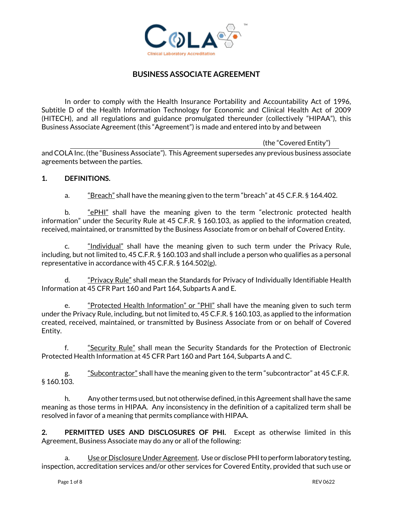

## **BUSINESS ASSOCIATE AGREEMENT**

In order to comply with the Health Insurance Portability and Accountability Act of 1996, Subtitle D of the Health Information Technology for Economic and Clinical Health Act of 2009 (HITECH), and all regulations and guidance promulgated thereunder (collectively "HIPAA"), this Business Associate Agreement (this "Agreement") is made and entered into by and between

(the "Covered Entity")

andCOLA Inc. (the "Business Associate"). This Agreement supersedes any previous business associate agreements between the parties.

#### **1. DEFINITIONS.**

a.  $\frac{45}{2}$   $\frac{12}{2}$  shall have the meaning given to the term "breach" at 45 C.F.R. § 164.402.

b.  $\frac{ePHI'}{ePHI'}$  shall have the meaning given to the term "electronic protected health information" under the Security Rule at 45 C.F.R. § 160.103, as applied to the information created, received, maintained, or transmitted by the Business Associate from or on behalf of Covered Entity.

c. **Individual** shall have the meaning given to such term under the Privacy Rule, including, but not limited to, 45 C.F.R. § 160.103 and shall include a person who qualifies as a personal representative in accordance with 45 C.F.R. § 164.502(g).

d. "*Privacy Rule*" shall mean the Standards for Privacy of Individually Identifiable Health Information at 45 CFR Part 160 and Part 164, Subparts A and E.

e. "Protected Health Information" or "PHI" shall have the meaning given to such term under the Privacy Rule, including, but not limited to, 45 C.F.R. § 160.103, as applied to the information created, received, maintained, or transmitted by Business Associate from or on behalf of Covered Entity.

 f. "Security Rule" shall mean the Security Standards for the Protection of Electronic Protected Health Information at 45 CFR Part 160 and Part 164, Subparts A and C.

g. "Subcontractor" shall have the meaning given to the term "subcontractor" at 45 C.F.R. § 160.103.

h. Any other terms used, but not otherwise defined, in this Agreement shall have the same meaning as those terms in HIPAA. Any inconsistency in the definition of a capitalized term shall be resolved in favor of a meaning that permits compliance with HIPAA.

**2. PERMITTED USES AND DISCLOSURES OF PHI.** Except as otherwise limited in this Agreement, Business Associate may do any or all of the following:

a. Use or Disclosure Under Agreement. Use or disclose PHI to perform laboratory testing, inspection, accreditation services and/or other services for Covered Entity, provided that such use or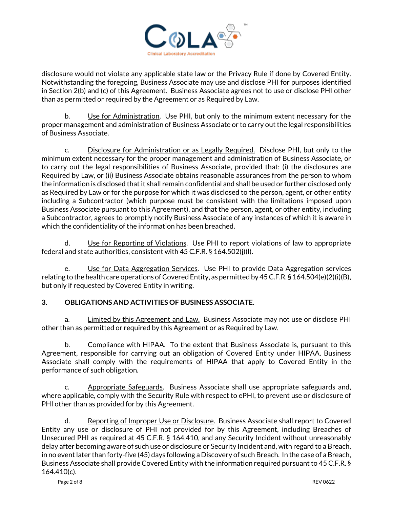

disclosure would not violate any applicable state law or the Privacy Rule if done by Covered Entity. Notwithstanding the foregoing, Business Associate may use and disclose PHI for purposes identified in Section 2(b) and (c) of this Agreement. Business Associate agrees not to use or disclose PHI other than as permitted or required by the Agreement or as Required by Law.

b. Use for Administration. Use PHI, but only to the minimum extent necessary for the proper management and administration of Business Associate or to carry out the legal responsibilities of Business Associate.

c. Disclosure for Administration or as Legally Required. Disclose PHI, but only to the minimum extent necessary for the proper management and administration of Business Associate, or to carry out the legal responsibilities of Business Associate, provided that: (i) the disclosures are Required by Law, or (ii) Business Associate obtains reasonable assurances from the person to whom the information is disclosed that it shall remain confidential and shall be used or further disclosed only as Required by Law or for the purpose for which it was disclosed to the person, agent, or other entity including a Subcontractor (which purpose must be consistent with the limitations imposed upon Business Associate pursuant to this Agreement), and that the person, agent, or other entity, including a Subcontractor, agrees to promptly notify Business Associate of any instances of which it is aware in which the confidentiality of the information has been breached.

d. Use for Reporting of Violations. Use PHI to report violations of law to appropriate federal and state authorities, consistent with 45 C.F.R. § 164.502(j)(l).

e. Use for Data Aggregation Services. Use PHI to provide Data Aggregation services relating to the health care operations of Covered Entity, as permitted by 45 C.F.R. § 164.504(e)(2)(i)(B), but only if requested by Covered Entity in writing.

### **3. OBLIGATIONS AND ACTIVITIES OF BUSINESS ASSOCIATE.**

a. Limited by this Agreement and Law. Business Associate may not use or disclose PHI other than as permitted or required by this Agreement or as Required by Law.

b. Compliance with HIPAA. To the extent that Business Associate is, pursuant to this Agreement, responsible for carrying out an obligation of Covered Entity under HIPAA, Business Associate shall comply with the requirements of HIPAA that apply to Covered Entity in the performance of such obligation.

c. Appropriate Safeguards. Business Associate shall use appropriate safeguards and, where applicable, comply with the Security Rule with respect to ePHI, to prevent use or disclosure of PHI other than as provided for by this Agreement.

d. Reporting of Improper Use or Disclosure. Business Associate shall report to Covered Entity any use or disclosure of PHI not provided for by this Agreement, including Breaches of Unsecured PHI as required at 45 C.F.R. § 164.410, and any Security Incident without unreasonably delay after becoming aware of such use or disclosure or Security Incident and, with regard to a Breach, in no event later than forty-five (45) days following a Discovery of such Breach. In the case of a Breach, Business Associate shall provide Covered Entity with the information required pursuant to 45 C.F.R. § 164.410(c).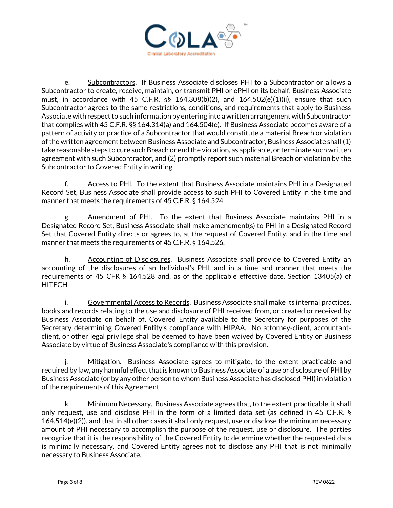

 e. Subcontractors. If Business Associate discloses PHI to a Subcontractor or allows a Subcontractor to create, receive, maintain, or transmit PHI or ePHI on its behalf, Business Associate must, in accordance with 45 C.F.R. §§ 164.308(b)(2), and  $164.502(e)(1)(ii)$ , ensure that such Subcontractor agrees to the same restrictions, conditions, and requirements that apply to Business Associate with respect to such information by entering into a written arrangement with Subcontractor that complies with 45 C.F.R. §§ 164.314(a) and 164.504(e). If Business Associate becomes aware of a pattern of activity or practice of a Subcontractor that would constitute a material Breach or violation of the written agreement between Business Associate and Subcontractor, Business Associate shall (1) take reasonable steps to cure such Breach or end the violation, as applicable, or terminate such written agreement with such Subcontractor, and (2) promptly report such material Breach or violation by the Subcontractor to Covered Entity in writing.

 f. Access to PHI. To the extent that Business Associate maintains PHI in a Designated Record Set, Business Associate shall provide access to such PHI to Covered Entity in the time and manner that meets the requirements of 45 C.F.R. § 164.524.

 g. Amendment of PHI. To the extent that Business Associate maintains PHI in a Designated Record Set, Business Associate shall make amendment(s) to PHI in a Designated Record Set that Covered Entity directs or agrees to, at the request of Covered Entity, and in the time and manner that meets the requirements of 45 C.F.R. § 164.526.

h. Accounting of Disclosures. Business Associate shall provide to Covered Entity an accounting of the disclosures of an Individual's PHI, and in a time and manner that meets the requirements of 45 CFR § 164.528 and, as of the applicable effective date, Section 13405(a) of HITECH.

 i. Governmental Access to Records. Business Associate shall make its internal practices, books and records relating to the use and disclosure of PHI received from, or created or received by Business Associate on behalf of, Covered Entity available to the Secretary for purposes of the Secretary determining Covered Entity's compliance with HIPAA. No attorney-client, accountantclient, or other legal privilege shall be deemed to have been waived by Covered Entity or Business Associate by virtue of Business Associate's compliance with this provision.

Mitigation. Business Associate agrees to mitigate, to the extent practicable and required by law, any harmful effect that is known to Business Associate of a use or disclosure of PHI by Business Associate (or by any other person to whom Business Associate has disclosed PHI) in violation of the requirements of this Agreement.

 k. Minimum Necessary. Business Associate agrees that, to the extent practicable, it shall only request, use and disclose PHI in the form of a limited data set (as defined in 45 C.F.R. § 164.514(e)(2)), and that in all other cases it shall only request, use or disclose the minimum necessary amount of PHI necessary to accomplish the purpose of the request, use or disclosure. The parties recognize that it is the responsibility of the Covered Entity to determine whether the requested data is minimally necessary, and Covered Entity agrees not to disclose any PHI that is not minimally necessary to Business Associate.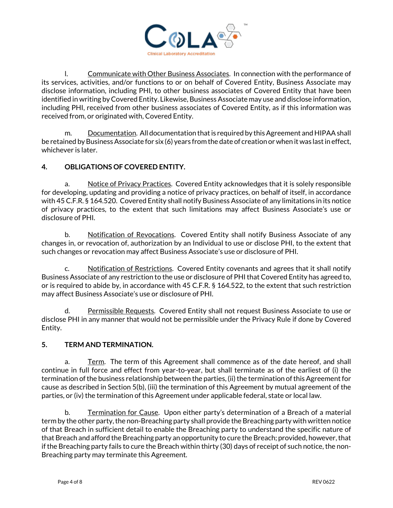

 l. Communicate with Other Business Associates. In connection with the performance of its services, activities, and/or functions to or on behalf of Covered Entity, Business Associate may disclose information, including PHI, to other business associates of Covered Entity that have been identified in writing by Covered Entity. Likewise, Business Associate may use and disclose information, including PHI, received from other business associates of Covered Entity, as if this information was received from, or originated with, Covered Entity.

 m. Documentation. All documentation that is required by this Agreement and HIPAA shall be retained by Business Associate for six (6) years from the date of creation or when it was last in effect, whichever is later.

### **4. OBLIGATIONS OF COVERED ENTITY.**

a. Notice of Privacy Practices. Covered Entity acknowledges that it is solely responsible for developing, updating and providing a notice of privacy practices, on behalf of itself, in accordance with 45 C.F.R. § 164.520. Covered Entity shall notify Business Associate of any limitations in its notice of privacy practices, to the extent that such limitations may affect Business Associate's use or disclosure of PHI.

b. Notification of Revocations. Covered Entity shall notify Business Associate of any changes in, or revocation of, authorization by an Individual to use or disclose PHI, to the extent that such changes or revocation may affect Business Associate's use or disclosure of PHI.

c. Notification of Restrictions. Covered Entity covenants and agrees that it shall notify Business Associate of any restriction to the use or disclosure of PHIthat Covered Entity has agreed to, or is required to abide by, in accordance with 45 C.F.R. § 164.522, to the extent that such restriction may affect Business Associate's use or disclosure of PHI.

d. Permissible Requests. Covered Entity shall not request Business Associate to use or disclose PHI in any manner that would not be permissible under the Privacy Rule if done by Covered Entity.

#### **5. TERM AND TERMINATION.**

a. Term. The term of this Agreement shall commence as of the date hereof, and shall continue in full force and effect from year-to-year, but shall terminate as of the earliest of (i) the termination of the business relationship between the parties, (ii) the termination of this Agreementfor cause as described in Section 5(b), (iii) the termination of this Agreement by mutual agreement of the parties, or (iv) the termination of this Agreement under applicable federal, state or local law.

b. Termination for Cause. Upon either party's determination of a Breach of a material term by the other party, the non-Breaching party shall provide the Breaching party with written notice of that Breach in sufficient detail to enable the Breaching party to understand the specific nature of that Breach and afford the Breaching party an opportunity to cure the Breach; provided, however, that if the Breaching party fails to cure the Breach within thirty (30) days of receipt of such notice, the non-Breaching party may terminate this Agreement.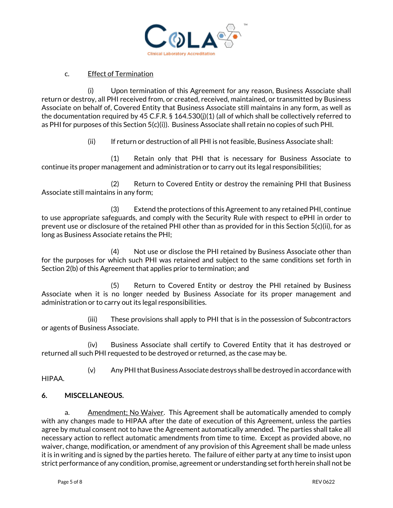

#### c. Effect of Termination

(i) Upon termination of this Agreement for any reason, Business Associate shall return or destroy, all PHI received from, or created, received, maintained, or transmitted by Business Associate on behalf of, Covered Entity that Business Associate still maintains in any form, as well as the documentation required by 45 C.F.R. § 164.530(j)(1) (all of which shall be collectively referred to as PHI for purposes of this Section 5(c)(i)). Business Associate shall retain no copies of such PHI.

(ii) If return or destruction of all PHI is not feasible, Business Associate shall:

(1) Retain only that PHI that is necessary for Business Associate to continue its proper management and administration or to carry out its legal responsibilities;

(2) Return to Covered Entity or destroy the remaining PHI that Business Associate still maintains in any form;

(3) Extend the protections of this Agreement to any retained PHI, continue to use appropriate safeguards, and comply with the Security Rule with respect to ePHI in order to prevent use or disclosure of the retained PHI other than as provided for in this Section 5(c)(ii), for as long as Business Associate retains the PHI;

(4) Not use or disclose the PHI retained by Business Associate other than for the purposes for which such PHI was retained and subject to the same conditions set forth in Section 2(b) of this Agreement that applies prior to termination; and

(5) Return to Covered Entity or destroy the PHI retained by Business Associate when it is no longer needed by Business Associate for its proper management and administration or to carry out its legal responsibilities.

(iii) These provisions shall apply to PHI that is in the possession of Subcontractors or agents of Business Associate.

(iv) Business Associate shall certify to Covered Entity that it has destroyed or returned all such PHI requested to be destroyed or returned, as the case may be.

(v) Any PHI that Business Associate destroys shall be destroyed in accordance with

HIPAA.

### **6. MISCELLANEOUS.**

a. Amendment; No Waiver. This Agreement shall be automatically amended to comply with any changes made to HIPAA after the date of execution of this Agreement, unless the parties agree by mutual consent not to have the Agreement automatically amended. The parties shall take all necessary action to reflect automatic amendments from time to time. Except as provided above, no waiver, change, modification, or amendment of any provision of this Agreement shall be made unless it is in writing and is signed by the parties hereto. The failure of either party at any time to insist upon strict performance of any condition, promise, agreement or understanding set forth herein shall not be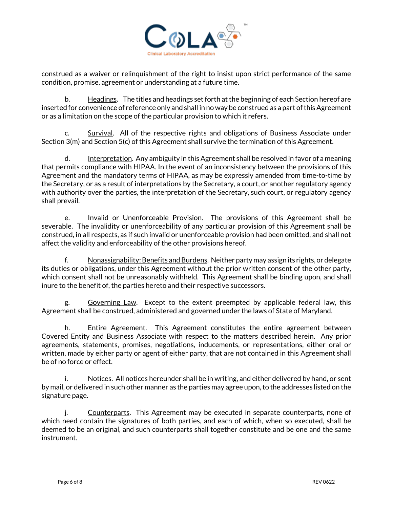

construed as a waiver or relinquishment of the right to insist upon strict performance of the same condition, promise, agreement or understanding at a future time.

b. Headings. The titles and headings set forth at the beginning of each Section hereof are inserted for convenience of reference only and shall in no way be construed as a part of this Agreement or as a limitation on the scope of the particular provision to which it refers.

Survival. All of the respective rights and obligations of Business Associate under Section 3(m) and Section 5(c) of this Agreement shall survive the termination of this Agreement.

d. <u>Interpretation</u>. Any ambiguity in this Agreement shall be resolved in favor of a meaning that permits compliance with HIPAA. In the event of an inconsistency between the provisions of this Agreement and the mandatory terms of HIPAA, as may be expressly amended from time-to-time by the Secretary, or as a result of interpretations by the Secretary, a court, or another regulatory agency with authority over the parties, the interpretation of the Secretary, such court, or regulatory agency shall prevail.

e. Invalid or Unenforceable Provision. The provisions of this Agreement shall be severable. The invalidity or unenforceability of any particular provision of this Agreement shall be construed, in all respects, as if such invalid or unenforceable provision had been omitted, and shall not affect the validity and enforceability of the other provisions hereof.

 f. Nonassignability: Benefits and Burdens. Neither party may assign its rights, or delegate its duties or obligations, under this Agreement without the prior written consent of the other party, which consent shall not be unreasonably withheld. This Agreement shall be binding upon, and shall inure to the benefit of, the parties hereto and their respective successors.

 g. Governing Law. Except to the extent preempted by applicable federal law, this Agreement shall be construed, administered and governed under the laws of State of Maryland.

h. Entire Agreement. This Agreement constitutes the entire agreement between Covered Entity and Business Associate with respect to the matters described herein. Any prior agreements, statements, promises, negotiations, inducements, or representations, either oral or written, made by either party or agent of either party, that are not contained in this Agreement shall be of no force or effect.

 i. Notices. All notices hereunder shall be in writing, and either delivered by hand, or sent by mail, or delivered in such other manner as the parties may agree upon, to the addresses listed on the signature page.

 j. Counterparts. This Agreement may be executed in separate counterparts, none of which need contain the signatures of both parties, and each of which, when so executed, shall be deemed to be an original, and such counterparts shall together constitute and be one and the same instrument.